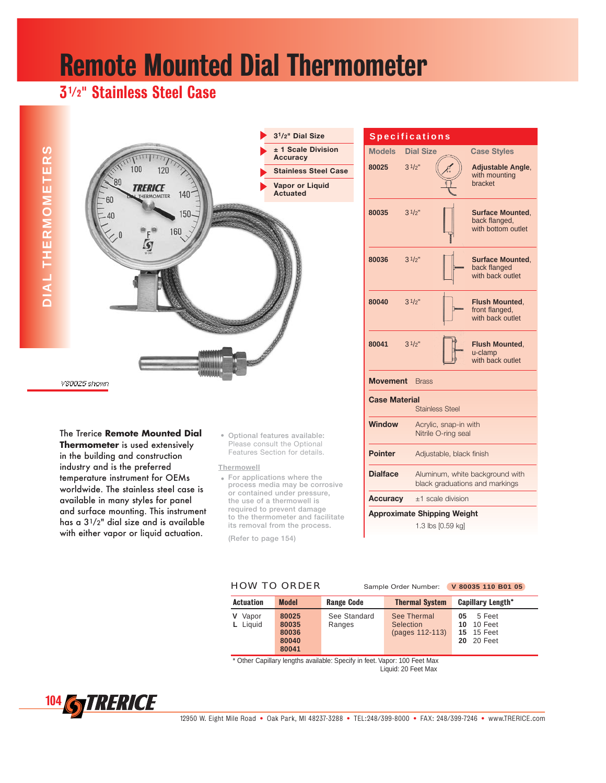# Remote Mounted Dial Thermometer

## 31/2**"** Stainless Steel Case



### The Trerice **Remote Mounted Dial**

**Thermometer** is used extensively in the building and construction industry and is the preferred temperature instrument for OEMs worldwide. The stainless steel case is available in many styles for panel and surface mounting. This instrument has a 31/2" dial size and is available with either vapor or liquid actuation.

• **Optional features available:** Please consult the Optional Features Section for details.

#### **Thermowell**

• **For applications where the process media may be corrosive or contained under pressure, the use of a thermowell is required to prevent damage to the thermometer and facilitate its removal from the process.**

**(Refer to page 154)**

|                                                | <b>Specifications</b> |                                              |                                                                   |  |  |  |  |
|------------------------------------------------|-----------------------|----------------------------------------------|-------------------------------------------------------------------|--|--|--|--|
| <b>Models</b>                                  | <b>Dial Size</b>      |                                              | <b>Case Styles</b>                                                |  |  |  |  |
| 80025                                          | 31/2"                 |                                              | <b>Adjustable Angle,</b><br>with mounting<br>bracket              |  |  |  |  |
| 80035                                          | 31/2"                 |                                              | <b>Surface Mounted.</b><br>back flanged,<br>with bottom outlet    |  |  |  |  |
| 80036                                          | 31/2"                 |                                              | <b>Surface Mounted.</b><br>back flanged<br>with back outlet       |  |  |  |  |
| 80040                                          | 31/2"                 |                                              | <b>Flush Mounted.</b><br>front flanged,<br>with back outlet       |  |  |  |  |
| 80041                                          | 31/2"                 |                                              | <b>Flush Mounted,</b><br>u-clamp<br>with back outlet              |  |  |  |  |
| Movement                                       | <b>Brass</b>          |                                              |                                                                   |  |  |  |  |
| <b>Case Material</b><br><b>Stainless Steel</b> |                       |                                              |                                                                   |  |  |  |  |
| Window                                         |                       | Acrylic, snap-in with<br>Nitrile O-ring seal |                                                                   |  |  |  |  |
| <b>Pointer</b>                                 |                       | Adjustable, black finish                     |                                                                   |  |  |  |  |
| <b>Dialface</b>                                |                       |                                              | Aluminum, white background with<br>black graduations and markings |  |  |  |  |
| Accuracy                                       |                       | +1 scale division                            |                                                                   |  |  |  |  |
| <b>Approximate Shipping Weight</b>             |                       |                                              |                                                                   |  |  |  |  |
|                                                |                       | 1.3 lbs [0.59 kg]                            |                                                                   |  |  |  |  |

HOW TO ORDER Sample Order Number: **V 80035 110 B01 05**

| <b>Actuation</b>       | <b>Model</b><br><b>Range Code</b>         |                        | <b>Thermal System</b>                              | <b>Capillary Length*</b>                                                    |  |  |
|------------------------|-------------------------------------------|------------------------|----------------------------------------------------|-----------------------------------------------------------------------------|--|--|
| Vapor<br>v<br>L Liquid | 80025<br>80035<br>80036<br>80040<br>80041 | See Standard<br>Ranges | See Thermal<br><b>Selection</b><br>(pages 112-113) | 5 Feet<br>05<br><b>10</b> 10 Feet<br><b>15</b> 15 Feet<br><b>20</b> 20 Feet |  |  |

\* Other Capillary lengths available: Specify in feet. Vapor: 100 Feet Max Liquid: 20 Feet Max